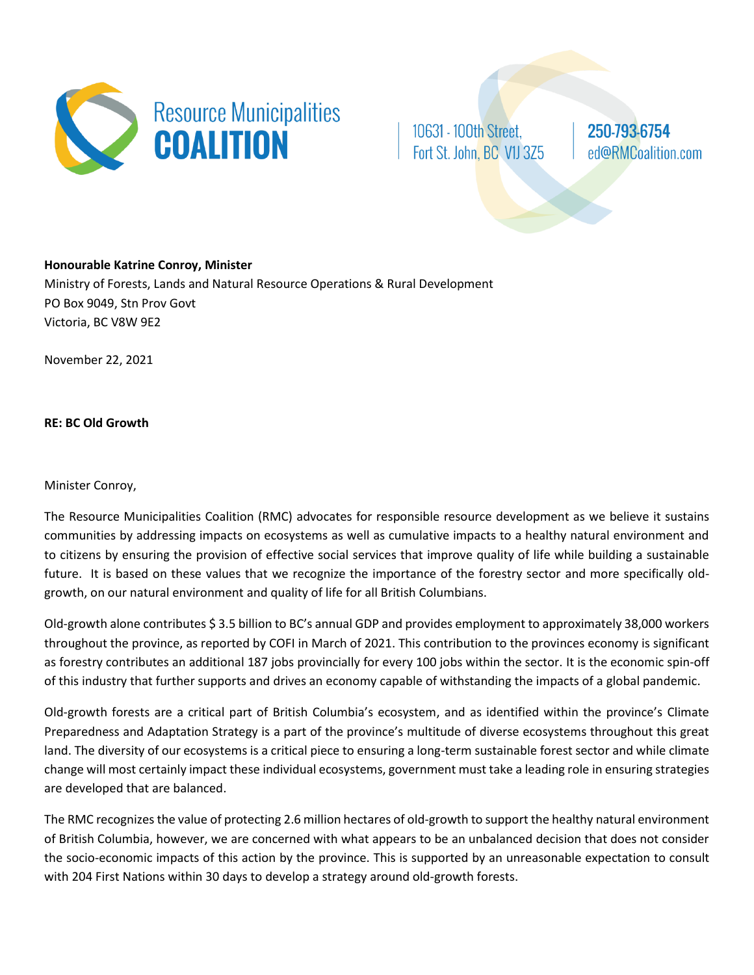

10631 - 100th Street, Fort St. John, BC V1J 3Z5 250-793-6754 ed@RMCoalition.com

**Honourable Katrine Conroy, Minister** Ministry of Forests, Lands and Natural Resource Operations & Rural Development PO Box 9049, Stn Prov Govt Victoria, BC V8W 9E2

November 22, 2021

**RE: BC Old Growth**

## Minister Conroy,

The Resource Municipalities Coalition (RMC) advocates for responsible resource development as we believe it sustains communities by addressing impacts on ecosystems as well as cumulative impacts to a healthy natural environment and to citizens by ensuring the provision of effective social services that improve quality of life while building a sustainable future. It is based on these values that we recognize the importance of the forestry sector and more specifically oldgrowth, on our natural environment and quality of life for all British Columbians.

Old-growth alone contributes \$ 3.5 billion to BC's annual GDP and provides employment to approximately 38,000 workers throughout the province, as reported by COFI in March of 2021. This contribution to the provinces economy is significant as forestry contributes an additional 187 jobs provincially for every 100 jobs within the sector. It is the economic spin-off of this industry that further supports and drives an economy capable of withstanding the impacts of a global pandemic.

Old-growth forests are a critical part of British Columbia's ecosystem, and as identified within the province's Climate Preparedness and Adaptation Strategy is a part of the province's multitude of diverse ecosystems throughout this great land. The diversity of our ecosystems is a critical piece to ensuring a long-term sustainable forest sector and while climate change will most certainly impact these individual ecosystems, government must take a leading role in ensuring strategies are developed that are balanced.

The RMC recognizes the value of protecting 2.6 million hectares of old-growth to support the healthy natural environment of British Columbia, however, we are concerned with what appears to be an unbalanced decision that does not consider the socio-economic impacts of this action by the province. This is supported by an unreasonable expectation to consult with 204 First Nations within 30 days to develop a strategy around old-growth forests.